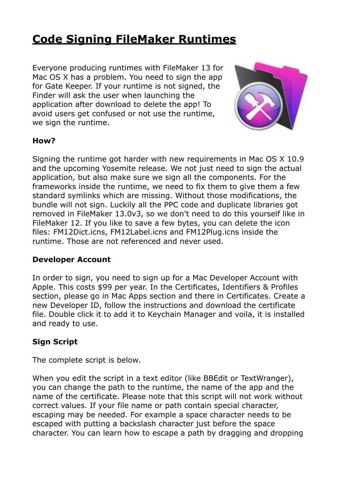# **[Code Signing FileMaker Runtimes](http://www.mbsplugins.de/archive/2014-08-22/Code_Signing_FileMaker_Runtime)**

Everyone producing runtimes with FileMaker 13 for Mac OS X has a problem. You need to sign the app for Gate Keeper. If your runtime is not signed, the Finder will ask the user when launching the application after download to delete the app! To avoid users get confused or not use the runtime, we sign the runtime.



#### **How?**

Signing the runtime got harder with new requirements in Mac OS X 10.9 and the upcoming Yosemite release. We not just need to sign the actual application, but also make sure we sign all the components. For the frameworks inside the runtime, we need to fix them to give them a few standard symlinks which are missing. Without those modifications, the bundle will not sign. Luckily all the PPC code and duplicate libraries got removed in FileMaker 13.0v3, so we don't need to do this yourself like in FileMaker 12. If you like to save a few bytes, you can delete the icon files: FM12Dict.icns, FM12Label.icns and FM12Plug.icns inside the runtime. Those are not referenced and never used.

#### **Developer Account**

In order to sign, you need to sign up for a Mac Developer Account with Apple. This costs \$99 per year. In the Certificates, Identifiers & Profiles section, please go in Mac Apps section and there in Certificates. Create a new Developer ID, follow the instructions and download the certificate file. Double click it to add it to Keychain Manager and voila, it is installed and ready to use.

### **Sign Script**

The complete script is below.

When you edit the script in a text editor (like BBEdit or TextWranger), you can change the path to the runtime, the name of the app and the name of the certificate. Please note that this script will not work without correct values. If your file name or path contain special character, escaping may be needed. For example a space character needs to be escaped with putting a backslash character just before the space character. You can learn how to escape a path by dragging and dropping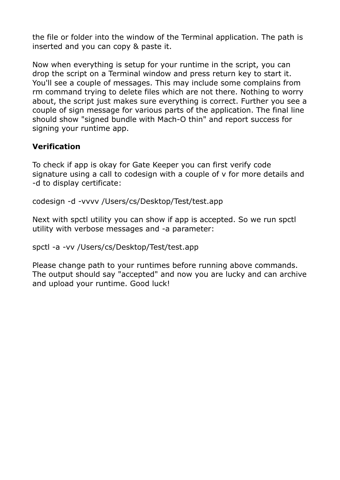the file or folder into the window of the Terminal application. The path is inserted and you can copy & paste it.

Now when everything is setup for your runtime in the script, you can drop the script on a Terminal window and press return key to start it. You'll see a couple of messages. This may include some complains from rm command trying to delete files which are not there. Nothing to worry about, the script just makes sure everything is correct. Further you see a couple of sign message for various parts of the application. The final line should show "signed bundle with Mach-O thin" and report success for signing your runtime app.

## **Verification**

To check if app is okay for Gate Keeper you can first verify code signature using a call to codesign with a couple of v for more details and -d to display certificate:

```
codesign -d -vvvv /Users/cs/Desktop/Test/test.app
```
Next with spctl utility you can show if app is accepted. So we run spctl utility with verbose messages and -a parameter:

```
spctl -a -vv /Users/cs/Desktop/Test/test.app
```
Please change path to your runtimes before running above commands. The output should say "accepted" and now you are lucky and can archive and upload your runtime. Good luck!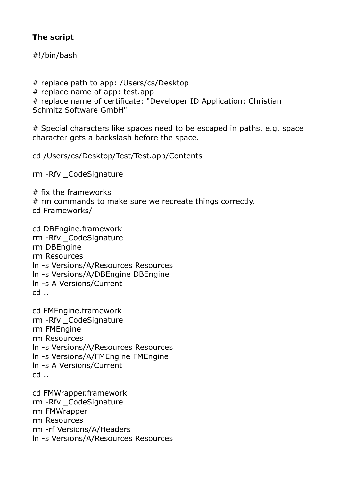### **The script**

#!/bin/bash

# replace path to app: /Users/cs/Desktop # replace name of app: test.app # replace name of certificate: "Developer ID Application: Christian Schmitz Software GmbH"

# Special characters like spaces need to be escaped in paths. e.g. space character gets a backslash before the space.

cd /Users/cs/Desktop/Test/Test.app/Contents

rm -Rfv \_CodeSignature

# fix the frameworks # rm commands to make sure we recreate things correctly. cd Frameworks/

cd DBEngine.framework rm -Rfv \_CodeSignature rm DBEngine rm Resources ln -s Versions/A/Resources Resources ln -s Versions/A/DBEngine DBEngine ln -s A Versions/Current cd ..

cd FMEngine.framework rm -Rfv \_CodeSignature rm FMEngine rm Resources ln -s Versions/A/Resources Resources ln -s Versions/A/FMEngine FMEngine ln -s A Versions/Current cd ..

cd FMWrapper.framework rm -Rfv \_CodeSignature rm FMWrapper rm Resources rm -rf Versions/A/Headers ln -s Versions/A/Resources Resources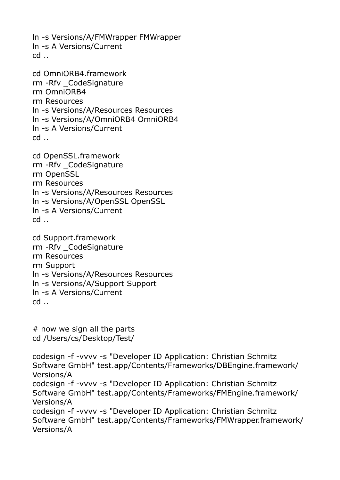ln -s Versions/A/FMWrapper FMWrapper ln -s A Versions/Current cd ..

```
cd OmniORB4.framework 
rm -Rfv _CodeSignature 
rm OmniORB4 
rm Resources 
ln -s Versions/A/Resources Resources 
ln -s Versions/A/OmniORB4 OmniORB4 
ln -s A Versions/Current 
cd ..
```
cd OpenSSL.framework rm -Rfv \_CodeSignature rm OpenSSL rm Resources ln -s Versions/A/Resources Resources ln -s Versions/A/OpenSSL OpenSSL ln -s A Versions/Current cd ..

cd Support.framework rm -Rfv \_CodeSignature rm Resources rm Support ln -s Versions/A/Resources Resources ln -s Versions/A/Support Support ln -s A Versions/Current cd ..

# now we sign all the parts cd /Users/cs/Desktop/Test/

codesign -f -vvvv -s "Developer ID Application: Christian Schmitz Software GmbH" test.app/Contents/Frameworks/DBEngine.framework/ Versions/A codesign -f -vvvv -s "Developer ID Application: Christian Schmitz Software GmbH" test.app/Contents/Frameworks/FMEngine.framework/ Versions/A codesign -f -vvvv -s "Developer ID Application: Christian Schmitz Software GmbH" test.app/Contents/Frameworks/FMWrapper.framework/ Versions/A